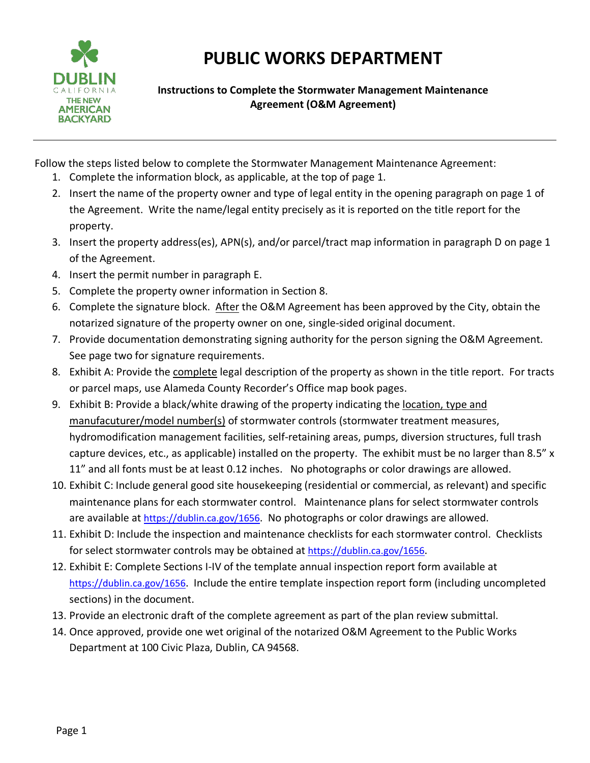

## **PUBLIC WORKS DEPARTMENT**

**Instructions to Complete the Stormwater Management Maintenance Agreement (O&M Agreement)** 

Follow the steps listed below to complete the Stormwater Management Maintenance Agreement:

- 1. Complete the information block, as applicable, at the top of page 1.
- 2. Insert the name of the property owner and type of legal entity in the opening paragraph on page 1 of the Agreement. Write the name/legal entity precisely as it is reported on the title report for the property.
- 3. Insert the property address(es), APN(s), and/or parcel/tract map information in paragraph D on page 1 of the Agreement.
- 4. Insert the permit number in paragraph E.
- 5. Complete the property owner information in Section 8.
- 6. Complete the signature block. After the O&M Agreement has been approved by the City, obtain the notarized signature of the property owner on one, single-sided original document.
- 7. Provide documentation demonstrating signing authority for the person signing the O&M Agreement. See page two for signature requirements.
- 8. Exhibit A: Provide the complete legal description of the property as shown in the title report. For tracts or parcel maps, use Alameda County Recorder's Office map book pages.
- 9. Exhibit B: Provide a black/white drawing of the property indicating the location, type and manufacuturer/model number(s) of stormwater controls (stormwater treatment measures, hydromodification management facilities, self-retaining areas, pumps, diversion structures, full trash capture devices, etc., as applicable) installed on the property. The exhibit must be no larger than 8.5" x 11" and all fonts must be at least 0.12 inches. No photographs or color drawings are allowed.
- 10. Exhibit C: Include general good site housekeeping (residential or commercial, as relevant) and specific maintenance plans for each stormwater control. Maintenance plans for select stormwater controls are available at [https://dublin.ca.gov/1656.](https://dublin.ca.gov/1656/Development-Permits---Stormwater-Require) No photographs or color drawings are allowed.
- 11. Exhibit D: Include the inspection and maintenance checklists for each stormwater control. Checklists for select stormwater controls may be obtained at [https://dublin.ca.gov/1656.](https://dublin.ca.gov/1656/Development-Permits---Stormwater-Require)
- 12. Exhibit E: Complete Sections I-IV of the template annual inspection report form available at [https://dublin.ca.gov/1656.](https://dublin.ca.gov/1656/Development-Permits---Stormwater-Require) Include the entire template inspection report form (including uncompleted sections) in the document.
- 13. Provide an electronic draft of the complete agreement as part of the plan review submittal.
- 14. Once approved, provide one wet original of the notarized O&M Agreement to the Public Works Department at 100 Civic Plaza, Dublin, CA 94568.